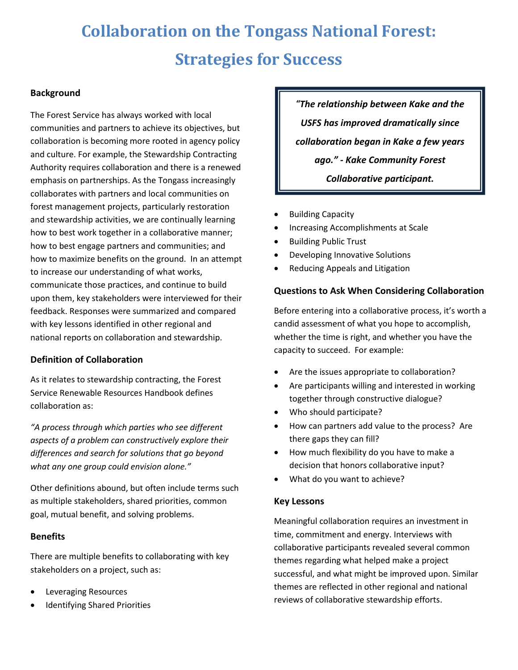# **Collaboration on the Tongass National Forest: Strategies for Success**

# **Background**

The Forest Service has always worked with local communities and partners to achieve its objectives, but collaboration is becoming more rooted in agency policy and culture. For example, the Stewardship Contracting Authority requires collaboration and there is a renewed emphasis on partnerships. As the Tongass increasingly collaborates with partners and local communities on forest management projects, particularly restoration and stewardship activities, we are continually learning how to best work together in a collaborative manner; how to best engage partners and communities; and how to maximize benefits on the ground. In an attempt to increase our understanding of what works, communicate those practices, and continue to build upon them, key stakeholders were interviewed for their feedback. Responses were summarized and compared with key lessons identified in other regional and national reports on collaboration and stewardship.

### **Definition of Collaboration**

As it relates to stewardship contracting, the Forest Service Renewable Resources Handbook defines collaboration as:

*"A process through which parties who see different aspects of a problem can constructively explore their differences and search for solutions that go beyond what any one group could envision alone."*

Other definitions abound, but often include terms such as multiple stakeholders, shared priorities, common goal, mutual benefit, and solving problems.

### **Benefits**

There are multiple benefits to collaborating with key stakeholders on a project, such as:

- Leveraging Resources
- Identifying Shared Priorities

*"The relationship between Kake and the USFS has improved dramatically since collaboration began in Kake a few years ago." - Kake Community Forest Collaborative participant.*

- Building Capacity
- Increasing Accomplishments at Scale
- Building Public Trust
- Developing Innovative Solutions
- Reducing Appeals and Litigation

# **Questions to Ask When Considering Collaboration**

Before entering into a collaborative process, it's worth a candid assessment of what you hope to accomplish, whether the time is right, and whether you have the capacity to succeed. For example:

- Are the issues appropriate to collaboration?
- Are participants willing and interested in working together through constructive dialogue?
- Who should participate?
- How can partners add value to the process? Are there gaps they can fill?
- How much flexibility do you have to make a decision that honors collaborative input?
- What do you want to achieve?

### **Key Lessons**

Meaningful collaboration requires an investment in time, commitment and energy. Interviews with collaborative participants revealed several common themes regarding what helped make a project successful, and what might be improved upon. Similar themes are reflected in other regional and national reviews of collaborative stewardship efforts.